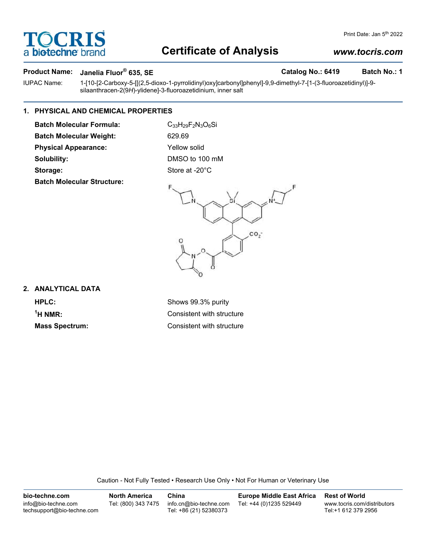# OCRI bio-techne<sup>®</sup>

# **Certificate of Analysis**

# *www.tocris.com*

Print Date: Jan 5<sup>th</sup> 2022

### **Product Name:** Janelia Fluor® 635, SE **Catalog No.: 6419** Batch No.: 1

IUPAC Name: 1-[10-[2-Carboxy-5-[[(2,5-dioxo-1-pyrrolidinyl)oxy]carbonyl]phenyl]-9,9-dimethyl-7-[1-(3-fluoroazetidinyl)]-9 silaanthracen-2(9*H*)-ylidene]-3-fluoroazetidinium, inner salt

### **1. PHYSICAL AND CHEMICAL PROPERTIES**

**Batch Molecular Formula:** C<sub>33</sub>H<sub>29</sub>F<sub>2</sub>N<sub>3</sub>O<sub>6</sub>Si

**Batch Molecular Weight:** 629.69

**Physical Appearance:** Yellow solid

**Batch Molecular Structure:**

**Solubility:** DMSO to 100 mM Storage: Store at -20°C



### **2. ANALYTICAL DATA**

<sup>1</sup>H NMR:

**HPLC:** Shows 99.3% purity **Consistent with structure Mass Spectrum:** Consistent with structure

Caution - Not Fully Tested • Research Use Only • Not For Human or Veterinary Use

**bio-techne.com** info@bio-techne.com techsupport@bio-techne.com **North America** Tel: (800) 343 7475 **China** info.cn@bio-techne.com Tel: +86 (21) 52380373 **Europe Middle East Africa** Tel: +44 (0)1235 529449 **Rest of World** www.tocris.com/distributors Tel:+1 612 379 2956